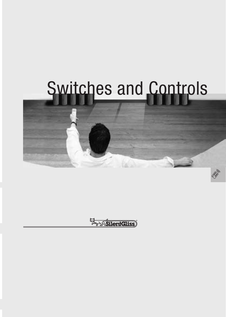# Switches and Controls



El SilentGliss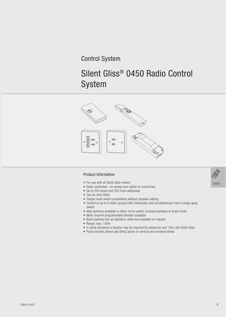# Control System

# Silent Gliss® 0450 Radio Control System



## Product Information

- For use with all Silent Gliss motors
- Radio controlled no wiring from switch to control box
- Up to 255 house and 255 room addresses
- Can be retro fitted
- Simple multi-switch possibilities without complex cabling
- Control of up to 8 motor groups both individually and simultaneously from a single gang switch
- Wall switches available in either mirror polish, brushed stainless or brass finish
- Multi-channel programmable handset available
- Black pattress box as standard, white box available on reQuest
- Range: max. 100m
- In some situations a booster may be required for distances over 15m. Ask Silent Gliss
- Pulse function allows slat tilting action on vertical and venetian blinds

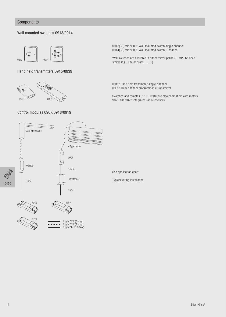## **Components**

#### Wall mounted switches 0913/0914



Hand held transmitters 0915/0939



#### Control modules 0907/0918/0919

0913(BS, MP or BR): Wall mounted switch single channel 0914(BS, MP or BR): Wall mounted switch 8-channel

Wall switches are available in either mirror polish (....MP), brushed stainless (....BS) or brass (....BR)

0915: Hand held transmitter single-channel 0939: Multi-channel programmable transmitter

Switches and remotes 0913 - 0916 are also compatible with motors 9021 and 9023 integrated radio receivers.



See application chart

Typical wiring installation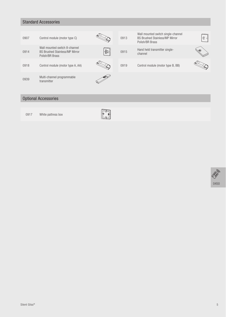# Standard Accessories

| 0907 | Control module (motor type C)                                                             |                                                                                                              | 0913 | Wall mounted switch single-channel<br><b>BS Brushed Stainless/MP Mirror</b><br>Polish/BR Brass | $\cdot$ . |
|------|-------------------------------------------------------------------------------------------|--------------------------------------------------------------------------------------------------------------|------|------------------------------------------------------------------------------------------------|-----------|
| 0914 | Wall mounted switch 8-channel<br><b>BS Brushed Stainless/MP Mirror</b><br>Polish/BR Brass | $\begin{array}{c} \mathbf{e}^{\mathbf{e}} \\ \mathbf{e}^{\mathbf{e}} \\ \mathbf{e}^{\mathbf{e}} \end{array}$ | 0915 | Hand held transmitter single-<br>channel                                                       |           |
| 0918 | Control module (motor type A, AA)                                                         |                                                                                                              | 0919 | Control module (motor type B, BB)                                                              |           |
| 0939 | Multi-channel programmable<br>transmitter                                                 |                                                                                                              |      |                                                                                                |           |

# Optional Accessories

0917 White pattress box



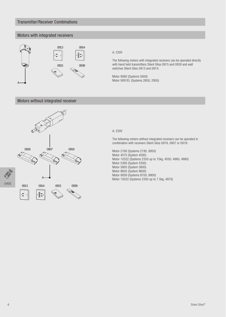## Transmitter/Receiver Combinations

## Motors with integrated receivers



#### A: 230V

The following motors with integrated receivers can be operated directly with hand held transmitters Silent Gliss 0915 and 0939 and wall switches Silent Gliss 0913 and 0914.

Motor 9060 (Systems 5600) Motor 9091EL (Systems 2650, 2950)

## Motors without integrated receiver



#### A: 230V

The following motors without integrated receivers can be operated in combination with receivers Silent Gliss 0918, 0907 or 0919:

Motor 2160 (Systems 2195, 8950) Motor 4575 (System 4595) Motor 10322 (Systems 2350 up to 15kg, 4550, 4960, 4880) Motor 5360 (System 5300) Motor 5805 (System 5800) Motor 8605 (System 8600) Motor 9009 (Systems 8700, 8800) Motor 10522 (Systems 2350 up to 7.5kg, 4870)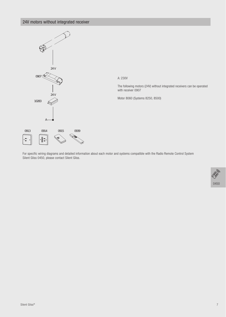# 24V motors without integrated receiver



For specific wiring diagrams and detailed information about each motor and systems compatible with the Radio Remote Control System Silent Gliss 0450, please contact Silent Gliss.

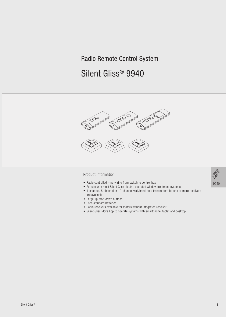# Radio Remote Control System

# Silent Gliss® 9940



## Product Information

- Radio controlled no wiring from switch to control box.
- For use with most Silent Gliss electric operated window treatment systems
- 1-channel, 5-channel or 10-channel wall/hand-held transmitters for one or more receivers are available
- Large up-stop-down buttons
- Uses standard batteries
- Radio receivers available for motors without integrated receiver
- Silent Gliss Move App to operate systems with smartphone, tablet and desktop.

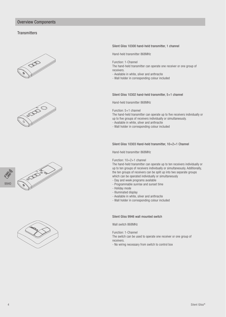## Overview Components

#### **Transmitters**











#### Silent Gliss 10300 hand-held transmitter, 1 channel

Hand-held transmitter 868MHz

Function: 1-Channel

The hand-held transmitter can operate one receiver or one group of receivers.

- Available in white, silver and anthracite

- Wall holder in corresponding colour included

#### Silent Gliss 10302 hand-held transmitter, 5+1 channel

Hand-held transmitter 868MHz

Function: 5+1 channel

The hand-held transmitter can operate up to five receivers individually or up to five groups of receivers individually or simultaneously.

- Available in white, silver and anthracite

- Wall holder in corresponding colour included

#### Silent Gliss 10303 Hand-held transmitter, 10+2+1 Channel

Hand-held transmitter 868MHz

Function: 10+2+1 channel

The hand-held transmitter can operate up to ten receivers individually or up to ten groups of receivers individually or simultaneously. Additionally, the ten groups of receivers can be split up into two separate groups which can be operated individually or simultaneously

- Day and week programs available
- Programmable sunrise and sunset time
- Holiday mode
- Illuminated display
- Available in white, silver and anthracite
- Wall holder in corresponding colour included

#### Silent Gliss 9946 wall mounted switch

Wall switch 868MHz

Function: 1-Channel

The switch can be used to operate one receiver or one group of receivers.

- No wiring necessary from switch to control box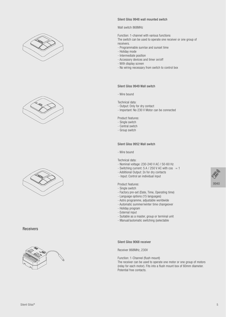





Receivers



#### Silent Gliss 9948 wall mounted switch

#### Wall switch 868MHz

Function: 1-channel with various functions The switch can be used to operate one receiver or one group of receivers.

- Programmable sunrise and sunset time
- Holiday mode
- Intermediate position
- Accessory devices and timer on/off
- With display screen
- No wiring necessary from switch to control box

#### Silent Gliss 9949 Wall switch

- Wire bound

Technical data:

- Output: Only for dry contact
- Important: No 230 V Motor can be connected

Product features:

- Single switch
- Central switch
- Group switch

#### Silent Gliss 9952 Wall switch

- Wire bound

Technical data:

- Nominal voltage: 230-240 V AC / 50-60 Hz
- Switching current:  $5 A / 250 V AC$  with  $cos = 1$
- Additional Output: 2x for dry contacts
- Input: Control an individual input

#### Product features:

- Single switch
- Factory pre-set (Date, Time, Operating time)
- Language options (15 languages)
- Astro programme, adjustable worldwide
- Automatic summer/winter time changeover
- Holiday program
- External input
- Suitable as a master, group or terminal unit
- Manual/automatic switching (selectable

Silent Gliss 9068 receiver

Receiver 868MHz, 230V

Function: 1-Channel (flush mount)

The receiver can be used to operate one motor or one group of motors (relay for each motor). Fits into a flush mount box of 60mm diameter. Potential free contacts.

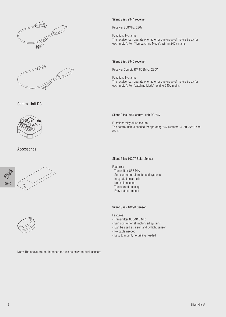



Control Unit DC



Accessories





#### Silent Gliss 9944 receiver

Receiver 868MHz, 230V

Function: 1-channel The receiver can operate one motor or one group of motors (relay for each motor). For "Non Latching Mode". Wiring 240V mains.

#### Silent Gliss 9945 receiver

Receiver Combio RM 868MHz, 230V

Function: 1-channel The receiver can operate one motor or one group of motors (relay for each motor). For "Latching Mode". Wiring 240V mains.

#### Silent Gliss 9947 control unit DC 24V

Function: relay (flush mount) The control unit is needed for operating 24V systems 4850, 8250 and 8500.

#### Silent Gliss 10297 Solar Sensor

#### Features:

- Transmitter 868 MHz
- Sun control for all motorised systems
- Integrated solar cells
- No cable needed
- Transparent housing
- Easy outdoor mount

#### Silent Gliss 10298 Sensor

Features:

- Transmitter 868/915 MHz
- Sun control for all motorised systems
- Can be used as a sun and twilight sensor
- No cable needed
- Easy to mount, no drilling needed

Note: The above are not intended for use as dawn to dusk sensors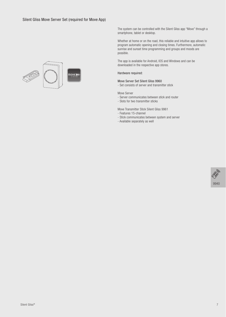

The system can be controlled with the Silent Gliss app "Move" through a smartphone, tablet or desktop.

Whether at home or on the road, this reliable and intuitive app allows to program automatic opening and closing times. Furthermore, automatic sunrise and sunset time programming and groups and moods are possible.

The app is available for Android, IOS and Windows and can be downloaded in the respective app stores.

Hardware required:

#### Move Server Set Silent Gliss 9960

- Set consists of server and transmitter stick

Move Server

- Server communicates between stick and router
- Slots for two transmitter sticks

Move Transmitter Stick Silent Gliss 9961

- Features 15-channel
- Stick communicates between system and server
- Available separately as well

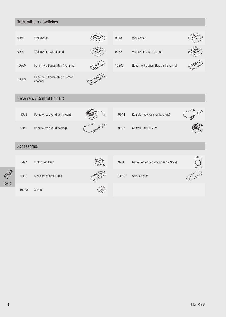# Transmitters / Switches

| 9946  | Wall switch                              |                                             | 9948  | Wall switch                        |     |
|-------|------------------------------------------|---------------------------------------------|-------|------------------------------------|-----|
| 9949  | Wall switch, wire bound                  |                                             | 9952  | Wall switch, wire bound            |     |
| 10300 | Hand-held transmitter, 1 channel         | จ                                           | 10302 | Hand-held transmitter, 5+1 channel | 500 |
| 10303 | Hand-held transmitter, 10+2+1<br>channel | $\mathscr{S}^{\mathfrak{S}^{\mathfrak{S}}}$ |       |                                    |     |

# Receivers / Control Unit DC

| 9068 | Remote receiver (flush mount) |  |
|------|-------------------------------|--|
| 9945 | Remote receiver (latching)    |  |



9944 Remote receiver (non latching)

9947 Control unit DC 24V





# Accessories





0997 Motor Test Lead 19960 Move Server Set (Includes 1x Stick)



10298 Sensor

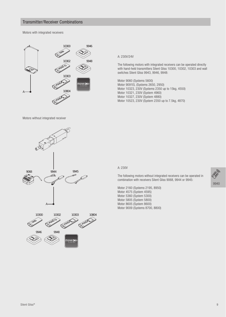#### Transmitter/Receiver Combinations

Motors with integrated receivers



Motors without integrated receiver





A: 230V/24V

The following motors with integrated receivers can be operated directly with hand-held transmitters Silent Gliss 10300, 10302, 10303 and wall switches Silent Gliss 9943, 9946, 9948:

Motor 9060 (Systems 5600) Motor 9091EL (Systems 2650, 2950) Motor 10323, 230V (Systems 2350 up to 15kg, 4550) Motor 10321, 230V (System 4960) Motor 10327, 230V (System 4880) Motor 10523, 230V (System 2350 up to 7.5kg, 4870)

#### A: 230V

The following motors without integrated receivers can be operated in combination with receivers Silent Gliss 9068, 9944 or 9945:

Motor 2160 (Systems 2195, 8950) Motor 4575 (System 4595) Motor 5360 (System 5300) Motor 5805 (System 5800) Motor 8605 (System 8600) Motor 9009 (Systems 8700, 8800)